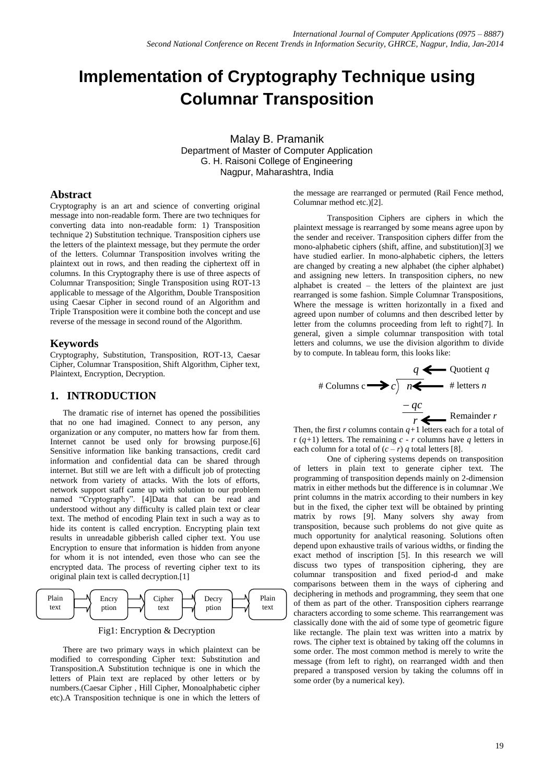# **Implementation of Cryptography Technique using Columnar Transposition**

Malay B. Pramanik Department of Master of Computer Application G. H. Raisoni College of Engineering Nagpur, Maharashtra, India

### **Abstract**

Cryptography is an art and science of converting original message into non-readable form. There are two techniques for converting data into non-readable form: 1) Transposition technique 2) Substitution technique. Transposition ciphers use the letters of the plaintext message, but they permute the order of the letters. Columnar Transposition involves writing the plaintext out in rows, and then reading the ciphertext off in columns. In this Cryptography there is use of three aspects of Columnar Transposition; Single Transposition using ROT-13 applicable to message of the Algorithm, Double Transposition using Caesar Cipher in second round of an Algorithm and Triple Transposition were it combine both the concept and use reverse of the message in second round of the Algorithm.

### **Keywords**

Cryptography, Substitution, Transposition, ROT-13, Caesar Cipher, Columnar Transposition, Shift Algorithm, Cipher text, Plaintext, Encryption, Decryption.

### **1. INTRODUCTION**

The dramatic rise of internet has opened the possibilities that no one had imagined. Connect to any person, any organization or any computer, no matters how far from them. Internet cannot be used only for browsing purpose.[6] Sensitive information like banking transactions, credit card information and confidential data can be shared through internet. But still we are left with a difficult job of protecting network from variety of attacks. With the lots of efforts, network support staff came up with solution to our problem named "Cryptography". [4]Data that can be read and understood without any difficulty is called plain text or clear text. The method of encoding Plain text in such a way as to hide its content is called encryption. Encrypting plain text results in unreadable gibberish called cipher text. You use Encryption to ensure that information is hidden from anyone for whom it is not intended, even those who can see the encrypted data. The process of reverting cipher text to its original plain text is called decryption.[1]



Fig1: Encryption & Decryption

There are two primary ways in which plaintext can be modified to corresponding Cipher text: Substitution and Transposition.A Substitution technique is one in which the letters of Plain text are replaced by other letters or by numbers.(Caesar Cipher , Hill Cipher, Monoalphabetic cipher etc).A Transposition technique is one in which the letters of

the message are rearranged or permuted (Rail Fence method, Columnar method etc.)[2].

Transposition Ciphers are ciphers in which the plaintext message is rearranged by some means agree upon by the sender and receiver. Transposition ciphers differ from the mono-alphabetic ciphers (shift, affine, and substitution)[3] we have studied earlier. In mono-alphabetic ciphers, the letters are changed by creating a new alphabet (the cipher alphabet) and assigning new letters. In transposition ciphers, no new alphabet is created – the letters of the plaintext are just rearranged is some fashion. Simple Columnar Transpositions, Where the message is written horizontally in a fixed and agreed upon number of columns and then described letter by letter from the columns proceeding from left to right[7]. In general, given a simple columnar transposition with total letters and columns, we use the division algorithm to divide by to compute. In tableau form, this looks like:



Then, the first  $r$  columns contain  $q+1$  letters each for a total of r (*q+*1) letters. The remaining *c* - *r* columns have *q* letters in each column for a total of  $(c - r)$  *q* total letters [8].

One of ciphering systems depends on transposition of letters in plain text to generate cipher text. The programming of transposition depends mainly on 2-dimension matrix in either methods but the difference is in columnar .We print columns in the matrix according to their numbers in key but in the fixed, the cipher text will be obtained by printing matrix by rows [9]. Many solvers shy away from transposition, because such problems do not give quite as much opportunity for analytical reasoning. Solutions often depend upon exhaustive trails of various widths, or finding the exact method of inscription [5]. In this research we will discuss two types of transposition ciphering, they are columnar transposition and fixed period-d and make comparisons between them in the ways of ciphering and deciphering in methods and programming, they seem that one of them as part of the other. Transposition ciphers rearrange characters according to some scheme. This rearrangement was classically done with the aid of some type of geometric figure like rectangle. The plain text was written into a matrix by rows. The cipher text is obtained by taking off the columns in some order. The most common method is merely to write the message (from left to right), on rearranged width and then prepared a transposed version by taking the columns off in some order (by a numerical key).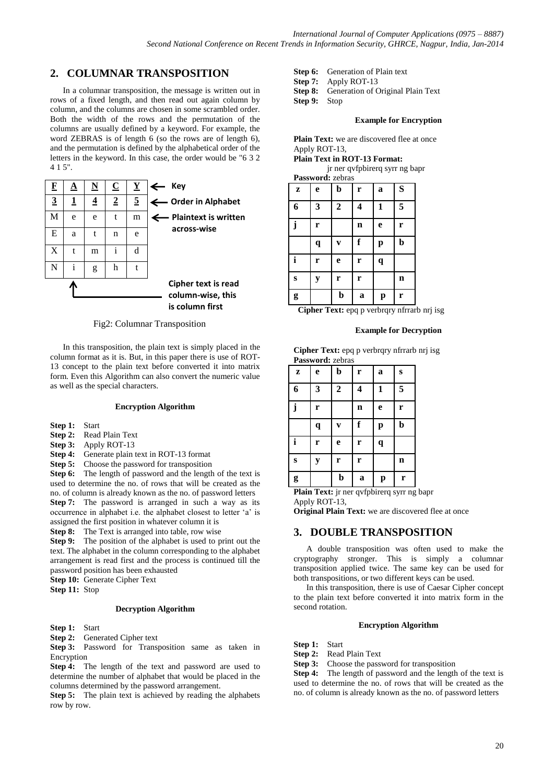# **2. COLUMNAR TRANSPOSITION**

In a columnar transposition, the message is written out in rows of a fixed length, and then read out again column by column, and the columns are chosen in some scrambled order. Both the width of the rows and the permutation of the columns are usually defined by a keyword. For example, the word ZEBRAS is of length 6 (so the rows are of length 6), and the permutation is defined by the alphabetical order of the letters in the keyword. In this case, the order would be "6 3 2 4 1 5".

| F              | ◮        | $\underline{\mathbf{N}}$ | $\overline{\mathbf{C}}$ | $\mathbf Y$    | Key<br>←                                                    |
|----------------|----------|--------------------------|-------------------------|----------------|-------------------------------------------------------------|
| $\overline{3}$ | <u>1</u> | $\overline{4}$           | $\overline{2}$          | $\overline{5}$ | ← Order in Alphabet                                         |
| M              | e        | e                        | t                       | m              | $\leftarrow$ Plaintext is written                           |
| E              | a        | t                        | n                       | e              | across-wise                                                 |
| X              | t        | m                        | i                       | d              |                                                             |
| N              | i        | g                        | h                       | t              |                                                             |
|                |          |                          |                         |                | Cipher text is read<br>column-wise, this<br>is column first |

#### Fig2: Columnar Transposition

In this transposition, the plain text is simply placed in the column format as it is. But, in this paper there is use of ROT-13 concept to the plain text before converted it into matrix form. Even this Algorithm can also convert the numeric value as well as the special characters.

#### **Encryption Algorithm**

**Step 1:** Start

- **Step 2:** Read Plain Text
- **Step 3:** Apply ROT-13
- **Step 4:** Generate plain text in ROT-13 format
- **Step 5:** Choose the password for transposition

**Step 6:** The length of password and the length of the text is used to determine the no. of rows that will be created as the no. of column is already known as the no. of password letters **Step 7:** The password is arranged in such a way as its occurrence in alphabet i.e. the alphabet closest to letter 'a' is assigned the first position in whatever column it is

**Step 8:** The Text is arranged into table, row wise

**Step 9:** The position of the alphabet is used to print out the text. The alphabet in the column corresponding to the alphabet arrangement is read first and the process is continued till the password position has been exhausted

**Step 10:** Generate Cipher Text

**Step 11:** Stop

#### **Decryption Algorithm**

**Step 1:** Start

**Step 2:** Generated Cipher text

**Step 3:** Password for Transposition same as taken in Encryption

**Step 4:** The length of the text and password are used to determine the number of alphabet that would be placed in the columns determined by the password arrangement.

**Step 5:** The plain text is achieved by reading the alphabets row by row.

| <b>Step 6:</b> Generation of Plain text |  |
|-----------------------------------------|--|
|-----------------------------------------|--|

**Step 7:** Apply ROT-13

**Step 8:** Generation of Original Plain Text

**Step 9:** Stop

#### **Example for Encryption**

Plain Text: we are discovered flee at once Apply ROT-13,

**Plain Text in ROT-13 Format:**

jr ner qvfpbirerq syrr ng bapr **Password:** zebras

| <b>L</b> abow of u. <i>L</i> ebras |             |                  |             |   |             |  |
|------------------------------------|-------------|------------------|-------------|---|-------------|--|
| Z                                  | e           | b                | r           | a | S           |  |
| 6                                  | 3           | $\boldsymbol{2}$ | 4           | 1 | 5           |  |
| $\mathbf{i}$                       | r           |                  | $\mathbf n$ | e | r           |  |
|                                    | $\mathbf q$ | V                | f           | p | b           |  |
|                                    | r           | e                | r           | q |             |  |
| S                                  | $\mathbf y$ | r                | r           |   | $\mathbf n$ |  |
| g                                  |             | $\mathbf b$      | a           | p | r           |  |

**Cipher Text:** epq p verbrqry nfrrarb nrj isg

#### **Example for Decryption**

**Cipher Text:** epq p verbrqry nfrrarb nrj isg **Password:** zebras

| Z | e           | $\mathbf b$      | r           | $\mathbf a$ | ${\bf S}$   |
|---|-------------|------------------|-------------|-------------|-------------|
| 6 | 3           | $\boldsymbol{2}$ | 4           | 1           | 5           |
| j | r           |                  | $\mathbf n$ | e           | r           |
|   | $\mathbf q$ | V                | f           | p           | b           |
| i | r           | $\mathbf e$      | r           | $\mathbf q$ |             |
| S | y           | r                | r           |             | $\mathbf n$ |
| g |             | $\mathbf b$      | a           | p           | r           |

Plain Text: jr ner qvfpbirerq syrr ng bapr Apply ROT-13,

**Original Plain Text:** we are discovered flee at once

### **3. DOUBLE TRANSPOSITION**

A double transposition was often used to make the cryptography stronger. This is simply a columnar transposition applied twice. The same key can be used for both transpositions, or two different keys can be used.

In this transposition, there is use of Caesar Cipher concept to the plain text before converted it into matrix form in the second rotation.

#### **Encryption Algorithm**

**Step 1:** Start

**Step 2:** Read Plain Text

**Step 3:** Choose the password for transposition

**Step 4:** The length of password and the length of the text is used to determine the no. of rows that will be created as the no. of column is already known as the no. of password letters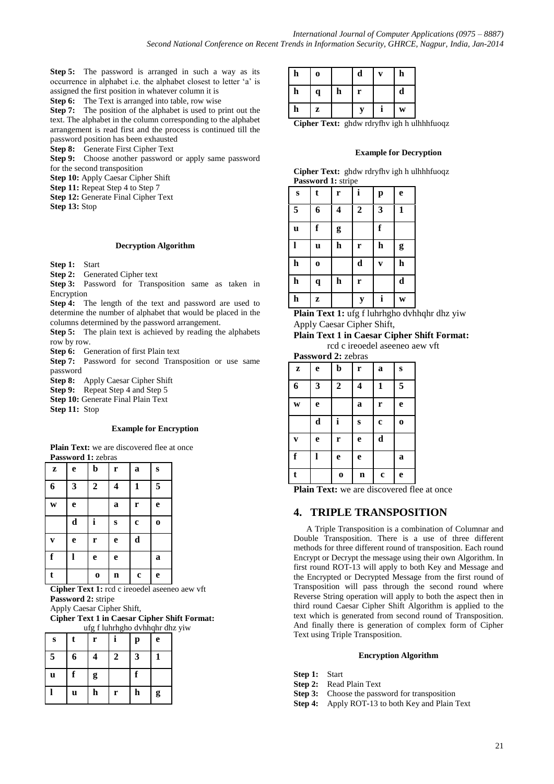**Step 5:** The password is arranged in such a way as its occurrence in alphabet i.e. the alphabet closest to letter 'a' is assigned the first position in whatever column it is

**Step 6:** The Text is arranged into table, row wise

**Step 7:** The position of the alphabet is used to print out the text. The alphabet in the column corresponding to the alphabet arrangement is read first and the process is continued till the password position has been exhausted

**Step 8:** Generate First Cipher Text

**Step 9:** Choose another password or apply same password for the second transposition

**Step 10:** Apply Caesar Cipher Shift

**Step 11:** Repeat Step 4 to Step 7

**Step 12:** Generate Final Cipher Text

**Step 13:** Stop

#### **Decryption Algorithm**

**Step 1:** Start

**Step 2:** Generated Cipher text

**Step 3:** Password for Transposition same as taken in **Encryption** 

**Step 4:** The length of the text and password are used to determine the number of alphabet that would be placed in the columns determined by the password arrangement.

**Step 5:** The plain text is achieved by reading the alphabets row by row.

**Step 6:** Generation of first Plain text

**Step 7:** Password for second Transposition or use same password

**Step 8:** Apply Caesar Cipher Shift

**Step 9:** Repeat Step 4 and Step 5

**Step 10:** Generate Final Plain Text

**Step 11:** Stop

#### **Example for Encryption**

**Plain Text:** we are discovered flee at once **Password 1:** zebras

| Z            | e | $\mathbf b$      | r           | $\mathbf a$ | $\bf{s}$ |
|--------------|---|------------------|-------------|-------------|----------|
| 6            | 3 | $\boldsymbol{2}$ | 4           | 1           | 5        |
| W            | e |                  | a           | r           | e        |
|              | d | i                | $\bf{s}$    | $\bf c$     | $\bf{0}$ |
| $\mathbf{V}$ | e | r                | e           | d           |          |
| $\mathbf f$  |   | e                | e           |             | a        |
| $\mathbf t$  |   | $\mathbf 0$      | $\mathbf n$ | $\mathbf c$ | e        |

**Cipher Text 1:** rcd c ireoedel aseeneo aew vft **Password 2:** stripe

Apply Caesar Cipher Shift,

**Cipher Text 1 in Caesar Cipher Shift Format:** ufg f luhrhgho dvhhqhr dhz yiw

|   |   |   |   |              | urg i numngno uvimqin una |
|---|---|---|---|--------------|---------------------------|
| S | t | r |   | $\mathbf{p}$ | e                         |
| 5 | 6 |   | 2 | 3            |                           |
| u | f | g |   | f            |                           |
|   | u | h | r | h            | g                         |

| h | 0                    |    | d  | V           | $\mathbf h$      |
|---|----------------------|----|----|-------------|------------------|
| h | q                    | h  | r  |             | d                |
| h | z                    |    | V  |             | W                |
|   | $\alpha$ in $\alpha$ | п. | -1 | ٠<br>$\sim$ | 11<br>-1<br>- 11 |

**Cipher Text:** ghdw rdryfhv igh h ulhhhfuoqz

#### **Example for Decryption**

| Cipher Text: ghdw rdryfhv igh h ulhhhfuoqz |  |  |  |
|--------------------------------------------|--|--|--|
| <b>Password 1:</b> stripe                  |  |  |  |

| S            | t           | r                       | $\mathbf{i}$     | p                       | $\mathbf e$  |
|--------------|-------------|-------------------------|------------------|-------------------------|--------------|
| 5            | 6           | $\overline{\mathbf{4}}$ | $\boldsymbol{2}$ | 3                       | $\mathbf{1}$ |
| $\mathbf u$  | f           | g                       |                  | f                       |              |
| $\mathbf{l}$ | u           | $\mathbf h$             | r                | $\mathbf h$             | g            |
| $\mathbf h$  | $\mathbf 0$ |                         | $\mathbf d$      | $\overline{\mathbf{v}}$ | $\mathbf h$  |
| $\mathbf h$  | $\mathbf q$ | $\mathbf h$             | r                |                         | d            |
| $\mathbf h$  | Z           |                         | y                | i                       | W            |

**Plain Text 1:** ufg f luhrhgho dvhhqhr dhz yiw Apply Caesar Cipher Shift,

**Plain Text 1 in Caesar Cipher Shift Format:** rcd c ireoedel aseeneo aew vft

| Password 2: zebras |   |                |   |             |             |  |  |
|--------------------|---|----------------|---|-------------|-------------|--|--|
| z                  | e | b              | r | a           | S           |  |  |
| 6                  | 3 | $\overline{2}$ | 4 | 1           | 5           |  |  |
| W                  | e |                | a | r           | e           |  |  |
|                    | d | i              | S | $\mathbf c$ | $\mathbf o$ |  |  |
|                    | e | r              | e | d           |             |  |  |
| f                  |   | e              | e |             | a           |  |  |
|                    |   | $\bf{0}$       | n | $\mathbf c$ | e           |  |  |

**Plain Text:** we are discovered flee at once

### **4. TRIPLE TRANSPOSITION**

A Triple Transposition is a combination of Columnar and Double Transposition. There is a use of three different methods for three different round of transposition. Each round Encrypt or Decrypt the message using their own Algorithm. In first round ROT-13 will apply to both Key and Message and the Encrypted or Decrypted Message from the first round of Transposition will pass through the second round where Reverse String operation will apply to both the aspect then in third round Caesar Cipher Shift Algorithm is applied to the text which is generated from second round of Transposition. And finally there is generation of complex form of Cipher Text using Triple Transposition.

#### **Encryption Algorithm**

- **Step 1:** Start
- **Step 2:** Read Plain Text
- **Step 3:** Choose the password for transposition
- **Step 4:** Apply ROT-13 to both Key and Plain Text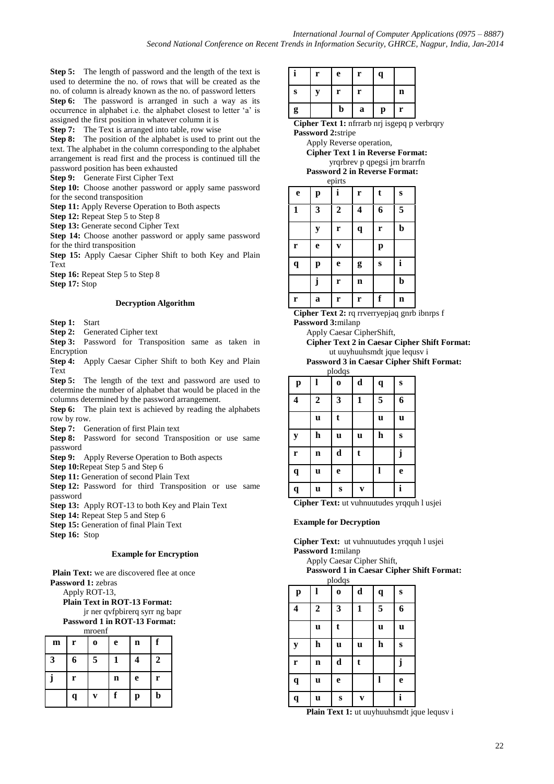**Step 5:** The length of password and the length of the text is used to determine the no. of rows that will be created as the no. of column is already known as the no. of password letters **Step 6:** The password is arranged in such a way as its occurrence in alphabet i.e. the alphabet closest to letter 'a' is assigned the first position in whatever column it is

**Step 7:** The Text is arranged into table, row wise

**Step 8:** The position of the alphabet is used to print out the text. The alphabet in the column corresponding to the alphabet arrangement is read first and the process is continued till the password position has been exhausted

**Step 9:** Generate First Cipher Text

**Step 10:** Choose another password or apply same password for the second transposition

**Step 11:** Apply Reverse Operation to Both aspects

**Step 12:** Repeat Step 5 to Step 8

**Step 13:** Generate second Cipher Text

**Step 14:** Choose another password or apply same password for the third transposition

**Step 15:** Apply Caesar Cipher Shift to both Key and Plain Text

**Step 16:** Repeat Step 5 to Step 8

**Step 17:** Stop

#### **Decryption Algorithm**

**Step 1:** Start

**Step 2:** Generated Cipher text

**Step 3:** Password for Transposition same as taken in Encryption

**Step 4:** Apply Caesar Cipher Shift to both Key and Plain Text

**Step 5:** The length of the text and password are used to determine the number of alphabet that would be placed in the columns determined by the password arrangement.

**Step 6:** The plain text is achieved by reading the alphabets row by row.

**Step 7:** Generation of first Plain text

Step 8: Password for second Transposition or use same password

**Step 9:** Apply Reverse Operation to Both aspects

**Step 10:**Repeat Step 5 and Step 6

**Step 11:** Generation of second Plain Text

**Step 12:** Password for third Transposition or use same password

**Step 13:** Apply ROT-13 to both Key and Plain Text

**Step 14:** Repeat Step 5 and Step 6

**Step 15:** Generation of final Plain Text

**Step 16:** Stop

#### **Example for Encryption**

Plain Text: we are discovered flee at once

**Password 1:** zebras Apply ROT-13,

**Plain Text in ROT-13 Format:**

jr ner qvfpbirerq syrr ng bapr

**Password 1 in ROT-13 Format:** mroenf

| m | r | $\bf{o}$ | e | n | f           |
|---|---|----------|---|---|-------------|
| 3 | 6 | 5        |   | 4 | 2           |
|   | r |          | n | e | r           |
|   | q | V        | f | p | $\mathbf b$ |

|   | r | e | r | $\mathbf q$  |             |  |
|---|---|---|---|--------------|-------------|--|
| S | y | r | r |              | $\mathbf n$ |  |
| g |   | b | a | $\mathbf{p}$ | r           |  |

**Cipher Text 1:** nfrrarb nrj isgepq p verbrqry **Password 2:**stripe

Apply Reverse operation,

**Cipher Text 1 in Reverse Format:** yrqrbrev p qpegsi jrn brarrfn

**Password 2 in Reverse Format:** epirts

| $v_{\rm{P}}$ nto |   |                  |                         |   |             |  |
|------------------|---|------------------|-------------------------|---|-------------|--|
| $\mathbf e$      | p | i                | r                       | t | $\bf{s}$    |  |
| $\mathbf{1}$     | 3 | $\boldsymbol{2}$ | $\overline{\mathbf{4}}$ | 6 | 5           |  |
|                  | y | r                | q                       | r | $\mathbf b$ |  |
| r                | e | V                |                         | p |             |  |
| q                | p | e                | g                       | S | i           |  |
|                  | j | r                | $\mathbf n$             |   | $\mathbf b$ |  |
| r                | a | r                | r                       | f | n           |  |

**Cipher Text 2:** rq rrverryepjaq gnrb ibnrps f **Password 3:**milanp

Apply Caesar CipherShift,

- **Cipher Text 2 in Caesar Cipher Shift Format:** ut uuyhuuhsmdt jque lequsv i
- **Password 3 in Caesar Cipher Shift Format:** plodqs

| piouqo       |                  |             |              |             |           |  |
|--------------|------------------|-------------|--------------|-------------|-----------|--|
| $\mathbf{p}$ |                  | $\mathbf 0$ | d            | $\mathbf q$ | ${\bf S}$ |  |
| 4            | $\boldsymbol{2}$ | 3           | $\mathbf{1}$ | 5           | 6         |  |
|              | u                | t           |              | $\mathbf u$ | u         |  |
| ${\bf y}$    | h                | u           | u            | $\mathbf h$ | $\bf{s}$  |  |
| r            | $\mathbf n$      | $\mathbf d$ | t            |             | j         |  |
| q            | u                | e           |              |             | e         |  |
| q            | u                | $\bf{s}$    | V            |             | i         |  |

Cipher Text: ut vuhnuutudes yrqquh l usiei

#### **Example for Decryption**

**Cipher Text:** ut vuhnuutudes yrqquh l usjei **Password 1:**milanp

Apply Caesar Cipher Shift, **Password 1 in Caesar Cipher Shift Format:**

| plodqs       |              |          |                         |             |          |  |
|--------------|--------------|----------|-------------------------|-------------|----------|--|
| $\mathbf{p}$ |              | $\bf{0}$ | $\mathbf d$             | $\mathbf q$ | $\bf{s}$ |  |
| 4            | $\mathbf{2}$ | 3        | 1                       | 5           | 6        |  |
|              | u            | t        |                         | $\mathbf u$ | u        |  |
| ${\bf y}$    | h            | u        | u                       | $\mathbf h$ | S        |  |
| r            | $\mathbf n$  | d        | t                       |             | j        |  |
| q            | u            | e        |                         | I           | e        |  |
| q            | u            | S        | $\overline{\mathbf{V}}$ |             | i        |  |

Plain Text 1: ut uuyhuuhsmdt jque lequsv i